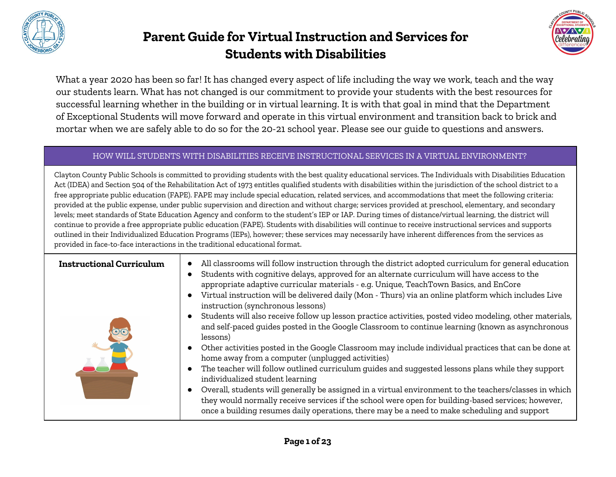



What a year 2020 has been so far! It has changed every aspect of life including the way we work, teach and the way our students learn. What has not changed is our commitment to provide your students with the best resources for successful learning whether in the building or in virtual learning. It is with that goal in mind that the Department of Exceptional Students will move forward and operate in this virtual environment and transition back to brick and mortar when we are safely able to do so for the 20-21 school year. Please see our guide to questions and answers.

#### HOW WILL STUDENTS WITH DISABILITIES RECEIVE INSTRUCTIONAL SERVICES IN A VIRTUAL ENVIRONMENT?

Clayton County Public Schools is committed to providing students with the best quality educational services. The Individuals with Disabilities Education Act (IDEA) and Section 504 of the Rehabilitation Act of 1973 entitles qualified students with disabilities within the jurisdiction of the school district to a free appropriate public education (FAPE). FAPE may include special education, related services, and accommodations that meet the following criteria: provided at the public expense, under public supervision and direction and without charge; services provided at preschool, elementary, and secondary levels; meet standards of State Education Agency and conform to the student's IEP or IAP. During times of distance/virtual learning, the district will continue to provide a free appropriate public education (FAPE). Students with disabilities will continue to receive instructional services and supports outlined in their Individualized Education Programs (IEPs), however; these services may necessarily have inherent differences from the services as provided in face-to-face interactions in the traditional educational format.

| <b>Instructional Curriculum</b> | All classrooms will follow instruction through the district adopted curriculum for general education<br>Students with cognitive delays, approved for an alternate curriculum will have access to the<br>appropriate adaptive curricular materials - e.g. Unique, TeachTown Basics, and EnCore<br>Virtual instruction will be delivered daily (Mon - Thurs) via an online platform which includes Live<br>instruction (synchronous lessons)           |
|---------------------------------|------------------------------------------------------------------------------------------------------------------------------------------------------------------------------------------------------------------------------------------------------------------------------------------------------------------------------------------------------------------------------------------------------------------------------------------------------|
|                                 | Students will also receive follow up lesson practice activities, posted video modeling, other materials,<br>and self-paced guides posted in the Google Classroom to continue learning (known as asynchronous<br>lessons)<br>Other activities posted in the Google Classroom may include individual practices that can be done at<br>home away from a computer (unplugged activities)                                                                 |
|                                 | The teacher will follow outlined curriculum guides and suggested lessons plans while they support<br>individualized student learning<br>Overall, students will generally be assigned in a virtual environment to the teachers/classes in which<br>they would normally receive services if the school were open for building-based services; however,<br>once a building resumes daily operations, there may be a need to make scheduling and support |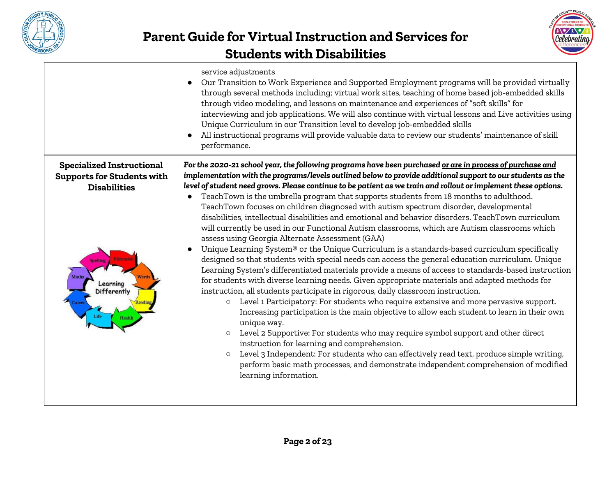



|                                                                                                                                    | service adjustments<br>Our Transition to Work Experience and Supported Employment programs will be provided virtually<br>$\bullet$<br>through several methods including; virtual work sites, teaching of home based job-embedded skills<br>through video modeling, and lessons on maintenance and experiences of "soft skills" for<br>interviewing and job applications. We will also continue with virtual lessons and Live activities using<br>Unique Curriculum in our Transition level to develop job-embedded skills<br>All instructional programs will provide valuable data to review our students' maintenance of skill<br>performance.                                                                                                                                                                                                                                                                                                                                                                                                                                                                                                                                                                                                                                                                                                                                                                                                                                                                                                                                                                                                                                                                                                                                                                                                                             |
|------------------------------------------------------------------------------------------------------------------------------------|-----------------------------------------------------------------------------------------------------------------------------------------------------------------------------------------------------------------------------------------------------------------------------------------------------------------------------------------------------------------------------------------------------------------------------------------------------------------------------------------------------------------------------------------------------------------------------------------------------------------------------------------------------------------------------------------------------------------------------------------------------------------------------------------------------------------------------------------------------------------------------------------------------------------------------------------------------------------------------------------------------------------------------------------------------------------------------------------------------------------------------------------------------------------------------------------------------------------------------------------------------------------------------------------------------------------------------------------------------------------------------------------------------------------------------------------------------------------------------------------------------------------------------------------------------------------------------------------------------------------------------------------------------------------------------------------------------------------------------------------------------------------------------------------------------------------------------------------------------------------------------|
| <b>Specialized Instructional</b><br><b>Supports for Students with</b><br><b>Disabilities</b><br>Educati<br>Learning<br>Differently | For the 2020-21 school year, the following programs have been purchased or are in process of purchase and<br>implementation with the programs/levels outlined below to provide additional support to our students as the<br>level of student need grows. Please continue to be patient as we train and rollout or implement these options.<br>TeachTown is the umbrella program that supports students from 18 months to adulthood.<br>TeachTown focuses on children diagnosed with autism spectrum disorder, developmental<br>disabilities, intellectual disabilities and emotional and behavior disorders. TeachTown curriculum<br>will currently be used in our Functional Autism classrooms, which are Autism classrooms which<br>assess using Georgia Alternate Assessment (GAA)<br>Unique Learning System® or the Unique Curriculum is a standards-based curriculum specifically<br>designed so that students with special needs can access the general education curriculum. Unique<br>Learning System's differentiated materials provide a means of access to standards-based instruction<br>for students with diverse learning needs. Given appropriate materials and adapted methods for<br>instruction, all students participate in rigorous, daily classroom instruction.<br>Level 1 Participatory: For students who require extensive and more pervasive support.<br>$\circ$<br>Increasing participation is the main objective to allow each student to learn in their own<br>unique way.<br>Level 2 Supportive: For students who may require symbol support and other direct<br>$\circ$<br>instruction for learning and comprehension.<br>Level 3 Independent: For students who can effectively read text, produce simple writing,<br>$\circ$<br>perform basic math processes, and demonstrate independent comprehension of modified<br>learning information. |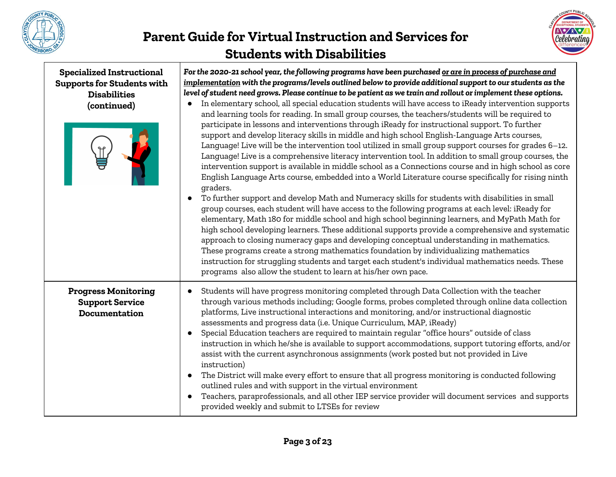



| <b>Specialized Instructional</b><br><b>Supports for Students with</b><br><b>Disabilities</b><br>(continued) | For the 2020-21 school year, the following programs have been purchased or are in process of purchase and<br>implementation with the programs/levels outlined below to provide additional support to our students as the<br>level of student need grows. Please continue to be patient as we train and rollout or implement these options.<br>In elementary school, all special education students will have access to iReady intervention supports<br>and learning tools for reading. In small group courses, the teachers/students will be required to<br>participate in lessons and interventions through iReady for instructional support. To further<br>support and develop literacy skills in middle and high school English-Language Arts courses,<br>Language! Live will be the intervention tool utilized in small group support courses for grades 6-12.<br>Language! Live is a comprehensive literacy intervention tool. In addition to small group courses, the<br>intervention support is available in middle school as a Connections course and in high school as core<br>English Language Arts course, embedded into a World Literature course specifically for rising ninth<br>graders.<br>To further support and develop Math and Numeracy skills for students with disabilities in small<br>$\bullet$<br>group courses, each student will have access to the following programs at each level: iReady for<br>elementary, Math 180 for middle school and high school beginning learners, and MyPath Math for<br>high school developing learners. These additional supports provide a comprehensive and systematic<br>approach to closing numeracy gaps and developing conceptual understanding in mathematics.<br>These programs create a strong mathematics foundation by individualizing mathematics<br>instruction for struggling students and target each student's individual mathematics needs. These<br>programs also allow the student to learn at his/her own pace. |
|-------------------------------------------------------------------------------------------------------------|-----------------------------------------------------------------------------------------------------------------------------------------------------------------------------------------------------------------------------------------------------------------------------------------------------------------------------------------------------------------------------------------------------------------------------------------------------------------------------------------------------------------------------------------------------------------------------------------------------------------------------------------------------------------------------------------------------------------------------------------------------------------------------------------------------------------------------------------------------------------------------------------------------------------------------------------------------------------------------------------------------------------------------------------------------------------------------------------------------------------------------------------------------------------------------------------------------------------------------------------------------------------------------------------------------------------------------------------------------------------------------------------------------------------------------------------------------------------------------------------------------------------------------------------------------------------------------------------------------------------------------------------------------------------------------------------------------------------------------------------------------------------------------------------------------------------------------------------------------------------------------------------------------------------------------------------------------------------------------------------------|
| <b>Progress Monitoring</b><br><b>Support Service</b><br><b>Documentation</b>                                | Students will have progress monitoring completed through Data Collection with the teacher<br>$\bullet$<br>through various methods including; Google forms, probes completed through online data collection<br>platforms, Live instructional interactions and monitoring, and/or instructional diagnostic<br>assessments and progress data (i.e. Unique Curriculum, MAP, iReady)<br>Special Education teachers are required to maintain regular "office hours" outside of class<br>$\bullet$<br>instruction in which he/she is available to support accommodations, support tutoring efforts, and/or<br>assist with the current asynchronous assignments (work posted but not provided in Live<br>instruction)<br>The District will make every effort to ensure that all progress monitoring is conducted following<br>$\bullet$<br>outlined rules and with support in the virtual environment<br>Teachers, paraprofessionals, and all other IEP service provider will document services and supports<br>provided weekly and submit to LTSEs for review                                                                                                                                                                                                                                                                                                                                                                                                                                                                                                                                                                                                                                                                                                                                                                                                                                                                                                                                        |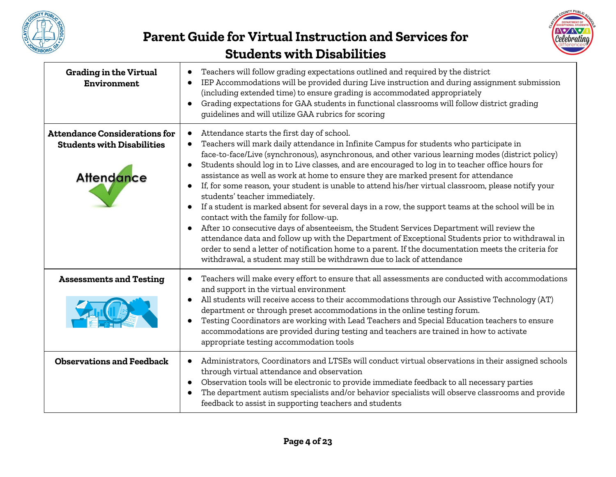



| <b>Grading in the Virtual</b><br>Environment                                                   | Teachers will follow grading expectations outlined and required by the district<br>$\bullet$<br>IEP Accommodations will be provided during Live instruction and during assignment submission<br>$\bullet$<br>(including extended time) to ensure grading is accommodated appropriately<br>Grading expectations for GAA students in functional classrooms will follow district grading<br>$\bullet$<br>guidelines and will utilize GAA rubrics for scoring                                                                                                                                                                                                                                                                                                                                                                                                                                                                                                                                                                                                                                                                                                                                       |
|------------------------------------------------------------------------------------------------|-------------------------------------------------------------------------------------------------------------------------------------------------------------------------------------------------------------------------------------------------------------------------------------------------------------------------------------------------------------------------------------------------------------------------------------------------------------------------------------------------------------------------------------------------------------------------------------------------------------------------------------------------------------------------------------------------------------------------------------------------------------------------------------------------------------------------------------------------------------------------------------------------------------------------------------------------------------------------------------------------------------------------------------------------------------------------------------------------------------------------------------------------------------------------------------------------|
| <b>Attendance Considerations for</b><br><b>Students with Disabilities</b><br><b>Attendance</b> | Attendance starts the first day of school.<br>$\bullet$<br>Teachers will mark daily attendance in Infinite Campus for students who participate in<br>$\bullet$<br>face-to-face/Live (synchronous), asynchronous, and other various learning modes (district policy)<br>Students should log in to Live classes, and are encouraged to log in to teacher office hours for<br>$\bullet$<br>assistance as well as work at home to ensure they are marked present for attendance<br>If, for some reason, your student is unable to attend his/her virtual classroom, please notify your<br>$\bullet$<br>students' teacher immediately.<br>If a student is marked absent for several days in a row, the support teams at the school will be in<br>$\bullet$<br>contact with the family for follow-up.<br>After 10 consecutive days of absenteeism, the Student Services Department will review the<br>$\bullet$<br>attendance data and follow up with the Department of Exceptional Students prior to withdrawal in<br>order to send a letter of notification home to a parent. If the documentation meets the criteria for<br>withdrawal, a student may still be withdrawn due to lack of attendance |
| <b>Assessments and Testing</b>                                                                 | Teachers will make every effort to ensure that all assessments are conducted with accommodations<br>$\bullet$<br>and support in the virtual environment<br>All students will receive access to their accommodations through our Assistive Technology (AT)<br>$\bullet$<br>department or through preset accommodations in the online testing forum.<br>Testing Coordinators are working with Lead Teachers and Special Education teachers to ensure<br>$\bullet$<br>accommodations are provided during testing and teachers are trained in how to activate<br>appropriate testing accommodation tools                                                                                                                                                                                                                                                                                                                                                                                                                                                                                                                                                                                            |
| <b>Observations and Feedback</b>                                                               | Administrators, Coordinators and LTSEs will conduct virtual observations in their assigned schools<br>through virtual attendance and observation<br>Observation tools will be electronic to provide immediate feedback to all necessary parties<br>The department autism specialists and/or behavior specialists will observe classrooms and provide<br>$\bullet$<br>feedback to assist in supporting teachers and students                                                                                                                                                                                                                                                                                                                                                                                                                                                                                                                                                                                                                                                                                                                                                                     |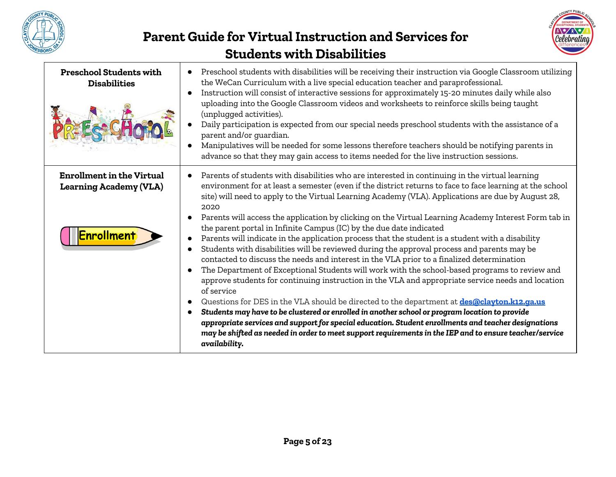



| <b>Preschool Students with</b><br><b>Disabilities</b>                           | Preschool students with disabilities will be receiving their instruction via Google Classroom utilizing<br>$\bullet$<br>the WeCan Curriculum with a live special education teacher and paraprofessional.<br>Instruction will consist of interactive sessions for approximately 15-20 minutes daily while also<br>$\bullet$<br>uploading into the Google Classroom videos and worksheets to reinforce skills being taught<br>(unplugged activities).<br>Daily participation is expected from our special needs preschool students with the assistance of a<br>parent and/or guardian.<br>Manipulatives will be needed for some lessons therefore teachers should be notifying parents in<br>$\bullet$<br>advance so that they may gain access to items needed for the live instruction sessions.                                                                                                                                                                                                                                                                                                                                                                                                                                                                                                                                                                                                                                                                                                                                                     |
|---------------------------------------------------------------------------------|-----------------------------------------------------------------------------------------------------------------------------------------------------------------------------------------------------------------------------------------------------------------------------------------------------------------------------------------------------------------------------------------------------------------------------------------------------------------------------------------------------------------------------------------------------------------------------------------------------------------------------------------------------------------------------------------------------------------------------------------------------------------------------------------------------------------------------------------------------------------------------------------------------------------------------------------------------------------------------------------------------------------------------------------------------------------------------------------------------------------------------------------------------------------------------------------------------------------------------------------------------------------------------------------------------------------------------------------------------------------------------------------------------------------------------------------------------------------------------------------------------------------------------------------------------|
| <b>Enrollment in the Virtual</b><br><b>Learning Academy (VLA)</b><br>Enrollment | Parents of students with disabilities who are interested in continuing in the virtual learning<br>$\bullet$<br>environment for at least a semester (even if the district returns to face to face learning at the school<br>site) will need to apply to the Virtual Learning Academy (VLA). Applications are due by August 28,<br>2020<br>Parents will access the application by clicking on the Virtual Learning Academy Interest Form tab in<br>the parent portal in Infinite Campus (IC) by the due date indicated<br>Parents will indicate in the application process that the student is a student with a disability<br>$\bullet$<br>Students with disabilities will be reviewed during the approval process and parents may be<br>$\bullet$<br>contacted to discuss the needs and interest in the VLA prior to a finalized determination<br>The Department of Exceptional Students will work with the school-based programs to review and<br>$\bullet$<br>approve students for continuing instruction in the VLA and appropriate service needs and location<br>of service<br>Questions for DES in the VLA should be directed to the department at <b>des@clayton.k12.ga.us</b><br>$\bullet$<br>Students may have to be clustered or enrolled in another school or program location to provide<br>$\bullet$<br>appropriate services and support for special education. Student enrollments and teacher designations<br>may be shifted as needed in order to meet support requirements in the IEP and to ensure teacher/service<br>availability. |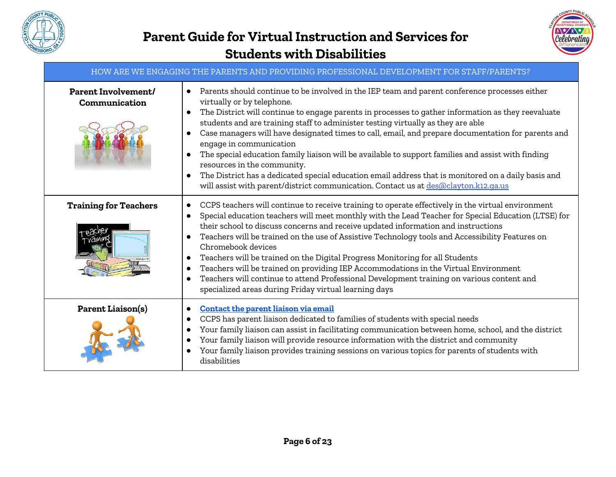



#### HOW ARE WE ENGAGING THE PARENTS AND PROVIDING PROFESSIONAL DEVELOPMENT FOR STAFF/PARENTS?

| Parent Involvement/<br>Communication | Parents should continue to be involved in the IEP team and parent conference processes either<br>$\bullet$<br>virtually or by telephone.<br>The District will continue to engage parents in processes to gather information as they reevaluate<br>$\bullet$<br>students and are training staff to administer testing virtually as they are able<br>Case managers will have designated times to call, email, and prepare documentation for parents and<br>$\bullet$<br>engage in communication<br>The special education family liaison will be available to support families and assist with finding<br>$\bullet$<br>resources in the community.<br>The District has a dedicated special education email address that is monitored on a daily basis and<br>will assist with parent/district communication. Contact us at des@clayton.k12.qa.us |
|--------------------------------------|-----------------------------------------------------------------------------------------------------------------------------------------------------------------------------------------------------------------------------------------------------------------------------------------------------------------------------------------------------------------------------------------------------------------------------------------------------------------------------------------------------------------------------------------------------------------------------------------------------------------------------------------------------------------------------------------------------------------------------------------------------------------------------------------------------------------------------------------------|
| <b>Training for Teachers</b>         | CCPS teachers will continue to receive training to operate effectively in the virtual environment<br>$\bullet$<br>Special education teachers will meet monthly with the Lead Teacher for Special Education (LTSE) for<br>$\bullet$<br>their school to discuss concerns and receive updated information and instructions<br>Teachers will be trained on the use of Assistive Technology tools and Accessibility Features on<br>$\bullet$<br>Chromebook devices<br>Teachers will be trained on the Digital Progress Monitoring for all Students<br>$\bullet$<br>Teachers will be trained on providing IEP Accommodations in the Virtual Environment<br>Teachers will continue to attend Professional Development training on various content and<br>specialized areas during Friday virtual learning days                                       |
| <b>Parent Liaison(s)</b>             | Contact the parent liaison via email<br>$\bullet$<br>CCPS has parent liaison dedicated to families of students with special needs<br>Your family liaison can assist in facilitating communication between home, school, and the district<br>Your family liaison will provide resource information with the district and community<br>Your family liaison provides training sessions on various topics for parents of students with<br>$\bullet$<br>disabilities                                                                                                                                                                                                                                                                                                                                                                               |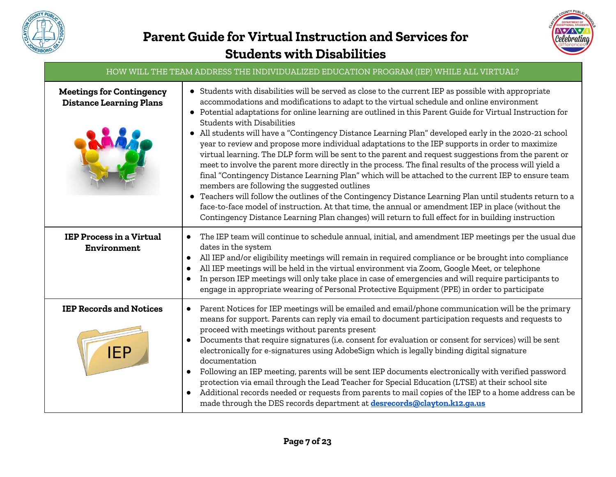



#### HOW WILL THE TEAM ADDRESS THE INDIVIDUALIZED EDUCATION PROGRAM (IEP) WHILE ALL VIRTUAL?

| <b>Meetings for Contingency</b><br><b>Distance Learning Plans</b> | • Students with disabilities will be served as close to the current IEP as possible with appropriate<br>accommodations and modifications to adapt to the virtual schedule and online environment<br>• Potential adaptations for online learning are outlined in this Parent Guide for Virtual Instruction for<br><b>Students with Disabilities</b><br>• All students will have a "Contingency Distance Learning Plan" developed early in the 2020-21 school<br>year to review and propose more individual adaptations to the IEP supports in order to maximize<br>virtual learning. The DLP form will be sent to the parent and request suggestions from the parent or<br>meet to involve the parent more directly in the process. The final results of the process will yield a<br>final "Contingency Distance Learning Plan" which will be attached to the current IEP to ensure team<br>members are following the suggested outlines<br>• Teachers will follow the outlines of the Contingency Distance Learning Plan until students return to a<br>face-to-face model of instruction. At that time, the annual or amendment IEP in place (without the<br>Contingency Distance Learning Plan changes) will return to full effect for in building instruction |
|-------------------------------------------------------------------|-----------------------------------------------------------------------------------------------------------------------------------------------------------------------------------------------------------------------------------------------------------------------------------------------------------------------------------------------------------------------------------------------------------------------------------------------------------------------------------------------------------------------------------------------------------------------------------------------------------------------------------------------------------------------------------------------------------------------------------------------------------------------------------------------------------------------------------------------------------------------------------------------------------------------------------------------------------------------------------------------------------------------------------------------------------------------------------------------------------------------------------------------------------------------------------------------------------------------------------------------------------------|
| <b>IEP Process in a Virtual</b><br>Environment                    | The IEP team will continue to schedule annual, initial, and amendment IEP meetings per the usual due<br>dates in the system<br>All IEP and/or eligibility meetings will remain in required compliance or be brought into compliance<br>$\bullet$<br>All IEP meetings will be held in the virtual environment via Zoom, Google Meet, or telephone<br>In person IEP meetings will only take place in case of emergencies and will require participants to<br>$\bullet$<br>engage in appropriate wearing of Personal Protective Equipment (PPE) in order to participate                                                                                                                                                                                                                                                                                                                                                                                                                                                                                                                                                                                                                                                                                            |
| <b>IEP Records and Notices</b><br>IEP                             | Parent Notices for IEP meetings will be emailed and email/phone communication will be the primary<br>means for support. Parents can reply via email to document participation requests and requests to<br>proceed with meetings without parents present<br>Documents that require signatures (i.e. consent for evaluation or consent for services) will be sent<br>$\bullet$<br>electronically for e-signatures using AdobeSign which is legally binding digital signature<br>documentation<br>Following an IEP meeting, parents will be sent IEP documents electronically with verified password<br>$\bullet$<br>protection via email through the Lead Teacher for Special Education (LTSE) at their school site<br>Additional records needed or requests from parents to mail copies of the IEP to a home address can be<br>made through the DES records department at desrecords@clayton.k12.ga.us                                                                                                                                                                                                                                                                                                                                                           |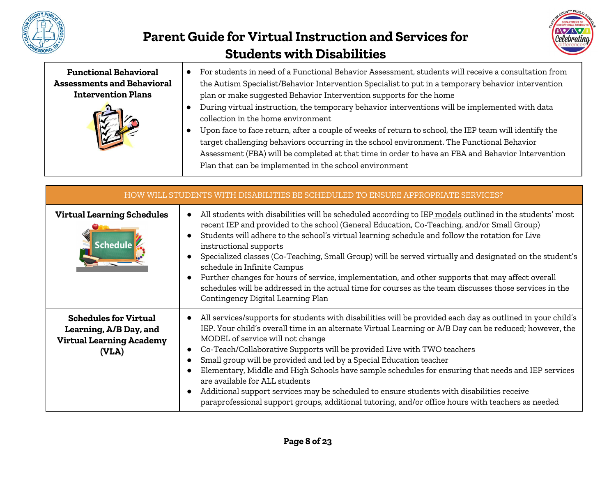



| <b>Functional Behavioral</b>      | For students in need of a Functional Behavior Assessment, students will receive a consultation from                                                                                                                                                                                                                                                                                                                                                                                                       |
|-----------------------------------|-----------------------------------------------------------------------------------------------------------------------------------------------------------------------------------------------------------------------------------------------------------------------------------------------------------------------------------------------------------------------------------------------------------------------------------------------------------------------------------------------------------|
| <b>Assessments and Behavioral</b> | the Autism Specialist/Behavior Intervention Specialist to put in a temporary behavior intervention                                                                                                                                                                                                                                                                                                                                                                                                        |
| <b>Intervention Plans</b>         | plan or make suggested Behavior Intervention supports for the home                                                                                                                                                                                                                                                                                                                                                                                                                                        |
|                                   | During virtual instruction, the temporary behavior interventions will be implemented with data<br>collection in the home environment<br>Upon face to face return, after a couple of weeks of return to school, the IEP team will identify the<br>target challenging behaviors occurring in the school environment. The Functional Behavior<br>Assessment (FBA) will be completed at that time in order to have an FBA and Behavior Intervention<br>Plan that can be implemented in the school environment |

| HOW WILL STUDENTS WITH DISABILITIES BE SCHEDULED TO ENSURE APPROPRIATE SERVICES?                   |                                                                                                                                                                                                                                                                                                                                                                                                                                                                                                                                                                                                                                                                                                                                                                    |
|----------------------------------------------------------------------------------------------------|--------------------------------------------------------------------------------------------------------------------------------------------------------------------------------------------------------------------------------------------------------------------------------------------------------------------------------------------------------------------------------------------------------------------------------------------------------------------------------------------------------------------------------------------------------------------------------------------------------------------------------------------------------------------------------------------------------------------------------------------------------------------|
| <b>Virtual Learning Schedules</b><br>Schedule                                                      | All students with disabilities will be scheduled according to IEP models outlined in the students' most<br>recent IEP and provided to the school (General Education, Co-Teaching, and/or Small Group)<br>Students will adhere to the school's virtual learning schedule and follow the rotation for Live<br>instructional supports<br>Specialized classes (Co-Teaching, Small Group) will be served virtually and designated on the student's<br>schedule in Infinite Campus<br>Further changes for hours of service, implementation, and other supports that may affect overall<br>schedules will be addressed in the actual time for courses as the team discusses those services in the<br>Contingency Digital Learning Plan                                    |
| <b>Schedules for Virtual</b><br>Learning, A/B Day, and<br><b>Virtual Learning Academy</b><br>(VLA) | All services/supports for students with disabilities will be provided each day as outlined in your child's<br>IEP. Your child's overall time in an alternate Virtual Learning or A/B Day can be reduced; however, the<br>MODEL of service will not change<br>Co-Teach/Collaborative Supports will be provided Live with TWO teachers<br>Small group will be provided and led by a Special Education teacher<br>Elementary, Middle and High Schools have sample schedules for ensuring that needs and IEP services<br>are available for ALL students<br>Additional support services may be scheduled to ensure students with disabilities receive<br>$\bullet$<br>paraprofessional support groups, additional tutoring, and/or office hours with teachers as needed |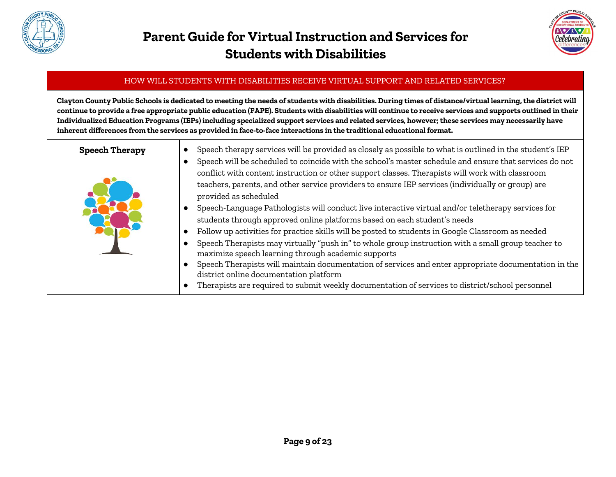



#### HOW WILL STUDENTS WITH DISABILITIES RECEIVE VIRTUAL SUPPORT AND RELATED SERVICES?

Clayton County Public Schools is dedicated to meeting the needs of students with disabilities. During times of distance/virtual learning, the district will continue to provide a free appropriate public education (FAPE). Students with disabilities will continue to receive services and supports outlined in their Individualized Education Programs (IEPs) including specialized support services and related services, however; these services may necessarily have **inherent differences from the services as provided in face-to-face interactions in the traditional educational format.**

| <b>Speech Therapy</b> | Speech therapy services will be provided as closely as possible to what is outlined in the student's IEP<br>Speech will be scheduled to coincide with the school's master schedule and ensure that services do not<br>conflict with content instruction or other support classes. Therapists will work with classroom<br>teachers, parents, and other service providers to ensure IEP services (individually or group) are<br>provided as scheduled<br>Speech-Language Pathologists will conduct live interactive virtual and/or teletherapy services for<br>students through approved online platforms based on each student's needs<br>Follow up activities for practice skills will be posted to students in Google Classroom as needed<br>Speech Therapists may virtually "push in" to whole group instruction with a small group teacher to<br>maximize speech learning through academic supports<br>Speech Therapists will maintain documentation of services and enter appropriate documentation in the<br>district online documentation platform<br>Therapists are required to submit weekly documentation of services to district/school personnel |
|-----------------------|-------------------------------------------------------------------------------------------------------------------------------------------------------------------------------------------------------------------------------------------------------------------------------------------------------------------------------------------------------------------------------------------------------------------------------------------------------------------------------------------------------------------------------------------------------------------------------------------------------------------------------------------------------------------------------------------------------------------------------------------------------------------------------------------------------------------------------------------------------------------------------------------------------------------------------------------------------------------------------------------------------------------------------------------------------------------------------------------------------------------------------------------------------------|
|-----------------------|-------------------------------------------------------------------------------------------------------------------------------------------------------------------------------------------------------------------------------------------------------------------------------------------------------------------------------------------------------------------------------------------------------------------------------------------------------------------------------------------------------------------------------------------------------------------------------------------------------------------------------------------------------------------------------------------------------------------------------------------------------------------------------------------------------------------------------------------------------------------------------------------------------------------------------------------------------------------------------------------------------------------------------------------------------------------------------------------------------------------------------------------------------------|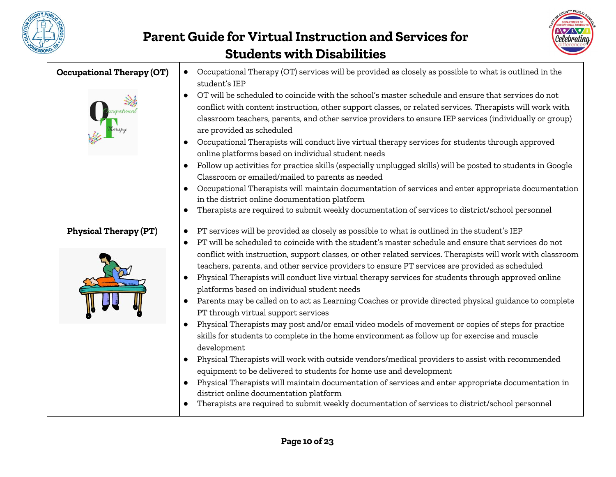



| <b>Occupational Therapy (OT)</b><br>ccupation | Occupational Therapy (OT) services will be provided as closely as possible to what is outlined in the<br>$\bullet$<br>student's IEP<br>OT will be scheduled to coincide with the school's master schedule and ensure that services do not<br>conflict with content instruction, other support classes, or related services. Therapists will work with<br>classroom teachers, parents, and other service providers to ensure IEP services (individually or group)<br>are provided as scheduled<br>Occupational Therapists will conduct live virtual therapy services for students through approved<br>online platforms based on individual student needs<br>Follow up activities for practice skills (especially unplugged skills) will be posted to students in Google<br>Classroom or emailed/mailed to parents as needed<br>Occupational Therapists will maintain documentation of services and enter appropriate documentation<br>in the district online documentation platform<br>Therapists are required to submit weekly documentation of services to district/school personnel<br>$\bullet$ |
|-----------------------------------------------|----------------------------------------------------------------------------------------------------------------------------------------------------------------------------------------------------------------------------------------------------------------------------------------------------------------------------------------------------------------------------------------------------------------------------------------------------------------------------------------------------------------------------------------------------------------------------------------------------------------------------------------------------------------------------------------------------------------------------------------------------------------------------------------------------------------------------------------------------------------------------------------------------------------------------------------------------------------------------------------------------------------------------------------------------------------------------------------------------|
| <b>Physical Therapy (PT)</b>                  | PT services will be provided as closely as possible to what is outlined in the student's IEP<br>$\bullet$<br>PT will be scheduled to coincide with the student's master schedule and ensure that services do not<br>$\bullet$                                                                                                                                                                                                                                                                                                                                                                                                                                                                                                                                                                                                                                                                                                                                                                                                                                                                      |
|                                               | conflict with instruction, support classes, or other related services. Therapists will work with classroom<br>teachers, parents, and other service providers to ensure PT services are provided as scheduled<br>Physical Therapists will conduct live virtual therapy services for students through approved online<br>$\bullet$<br>platforms based on individual student needs<br>Parents may be called on to act as Learning Coaches or provide directed physical guidance to complete<br>$\bullet$<br>PT through virtual support services                                                                                                                                                                                                                                                                                                                                                                                                                                                                                                                                                       |
|                                               | Physical Therapists may post and/or email video models of movement or copies of steps for practice<br>skills for students to complete in the home environment as follow up for exercise and muscle<br>development<br>Physical Therapists will work with outside vendors/medical providers to assist with recommended<br>equipment to be delivered to students for home use and development<br>Physical Therapists will maintain documentation of services and enter appropriate documentation in<br>district online documentation platform<br>Therapists are required to submit weekly documentation of services to district/school personnel                                                                                                                                                                                                                                                                                                                                                                                                                                                      |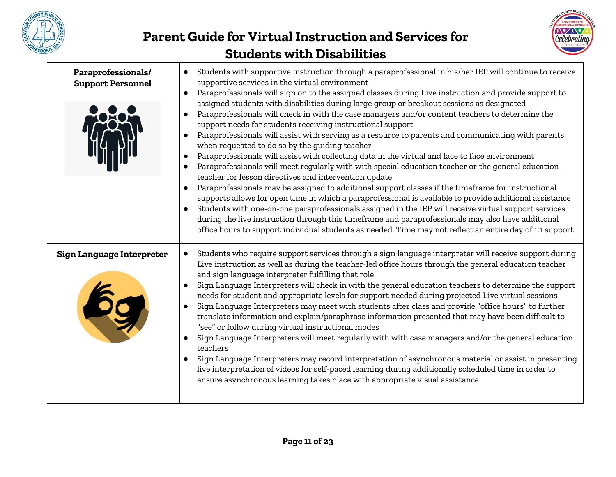



| Paraprofessionals/<br><b>Support Personnel</b> | Students with supportive instruction through a paraprofessional in his/her IEP will continue to receive<br>$\bullet$<br>supportive services in the virtual environment<br>Paraprofessionals will sign on to the assigned classes during Live instruction and provide support to<br>$\bullet$<br>assigned students with disabilities during large group or breakout sessions as designated<br>Paraprofessionals will check in with the case managers and/or content teachers to determine the<br>$\bullet$<br>support needs for students receiving instructional support<br>Paraprofessionals will assist with serving as a resource to parents and communicating with parents<br>$\bullet$<br>when requested to do so by the quiding teacher<br>Paraprofessionals will assist with collecting data in the virtual and face to face environment<br>$\bullet$<br>Paraprofessionals will meet regularly with with special education teacher or the general education<br>teacher for lesson directives and intervention update<br>Paraprofessionals may be assigned to additional support classes if the timeframe for instructional<br>$\bullet$<br>supports allows for open time in which a paraprofessional is available to provide additional assistance<br>Students with one-on-one paraprofessionals assigned in the IEP will receive virtual support services<br>$\bullet$<br>during the live instruction through this timeframe and paraprofessionals may also have additional<br>office hours to support individual students as needed. Time may not reflect an entire day of 1:1 support |
|------------------------------------------------|------------------------------------------------------------------------------------------------------------------------------------------------------------------------------------------------------------------------------------------------------------------------------------------------------------------------------------------------------------------------------------------------------------------------------------------------------------------------------------------------------------------------------------------------------------------------------------------------------------------------------------------------------------------------------------------------------------------------------------------------------------------------------------------------------------------------------------------------------------------------------------------------------------------------------------------------------------------------------------------------------------------------------------------------------------------------------------------------------------------------------------------------------------------------------------------------------------------------------------------------------------------------------------------------------------------------------------------------------------------------------------------------------------------------------------------------------------------------------------------------------------------------------------------------------------------------------------------------|
| <b>Sign Language Interpreter</b>               | Students who require support services through a sign language interpreter will receive support during<br>$\bullet$<br>Live instruction as well as during the teacher-led office hours through the general education teacher<br>and sign language interpreter fulfilling that role<br>Sign Language Interpreters will check in with the general education teachers to determine the support<br>needs for student and appropriate levels for support needed during projected Live virtual sessions<br>Sign Language Interpreters may meet with students after class and provide "office hours" to further<br>$\bullet$<br>translate information and explain/paraphrase information presented that may have been difficult to<br>"see" or follow during virtual instructional modes<br>Sign Language Interpreters will meet regularly with with case managers and/or the general education<br>$\bullet$<br>teachers<br>Sign Language Interpreters may record interpretation of asynchronous material or assist in presenting<br>live interpretation of videos for self-paced learning during additionally scheduled time in order to<br>ensure asynchronous learning takes place with appropriate visual assistance                                                                                                                                                                                                                                                                                                                                                                               |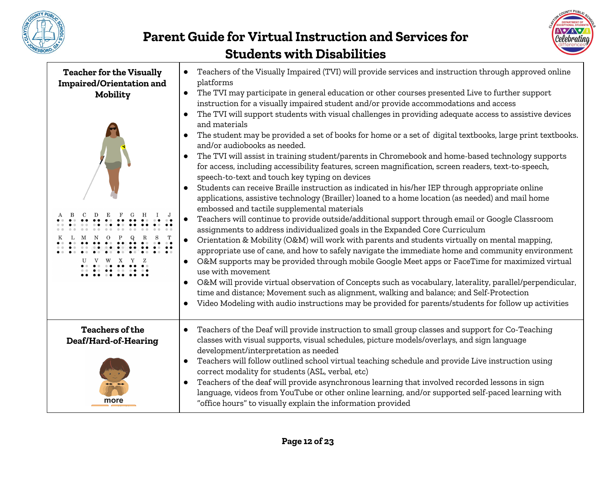



| <b>Teacher for the Visually</b><br><b>Impaired/Orientation and</b><br>Mobility | Teachers of the Visually Impaired (TVI) will provide services and instruction through approved online<br>$\bullet$<br>platforms<br>The TVI may participate in general education or other courses presented Live to further support<br>$\bullet$<br>instruction for a visually impaired student and/or provide accommodations and access<br>The TVI will support students with visual challenges in providing adequate access to assistive devices<br>$\bullet$<br>and materials<br>The student may be provided a set of books for home or a set of digital textbooks, large print textbooks.<br>$\bullet$                                                                                                                                                                                                                                          |
|--------------------------------------------------------------------------------|----------------------------------------------------------------------------------------------------------------------------------------------------------------------------------------------------------------------------------------------------------------------------------------------------------------------------------------------------------------------------------------------------------------------------------------------------------------------------------------------------------------------------------------------------------------------------------------------------------------------------------------------------------------------------------------------------------------------------------------------------------------------------------------------------------------------------------------------------|
|                                                                                | and/or audiobooks as needed.<br>The TVI will assist in training student/parents in Chromebook and home-based technology supports<br>$\bullet$<br>for access, including accessibility features, screen magnification, screen readers, text-to-speech,<br>speech-to-text and touch key typing on devices<br>Students can receive Braille instruction as indicated in his/her IEP through appropriate online<br>applications, assistive technology (Brailler) loaned to a home location (as needed) and mail home<br>embossed and tactile supplemental materials                                                                                                                                                                                                                                                                                      |
|                                                                                | Teachers will continue to provide outside/additional support through email or Google Classroom<br>assignments to address individualized goals in the Expanded Core Curriculum<br>Orientation & Mobility (O&M) will work with parents and students virtually on mental mapping,<br>appropriate use of cane, and how to safely navigate the immediate home and community environment<br>O&M supports may be provided through mobile Google Meet apps or FaceTime for maximized virtual<br>use with movement<br>O&M will provide virtual observation of Concepts such as vocabulary, laterality, parallel/perpendicular,<br>$\bullet$<br>time and distance; Movement such as alignment, walking and balance; and Self-Protection<br>Video Modeling with audio instructions may be provided for parents/students for follow up activities<br>$\bullet$ |
| <b>Teachers of the</b><br>Deaf/Hard-of-Hearing<br>more                         | Teachers of the Deaf will provide instruction to small group classes and support for Co-Teaching<br>$\bullet$<br>classes with visual supports, visual schedules, picture models/overlays, and sign language<br>development/interpretation as needed<br>Teachers will follow outlined school virtual teaching schedule and provide Live instruction using<br>$\bullet$<br>correct modality for students (ASL, verbal, etc)<br>Teachers of the deaf will provide asynchronous learning that involved recorded lessons in sign<br>$\bullet$<br>language, videos from YouTube or other online learning, and/or supported self-paced learning with<br>"office hours" to visually explain the information provided                                                                                                                                       |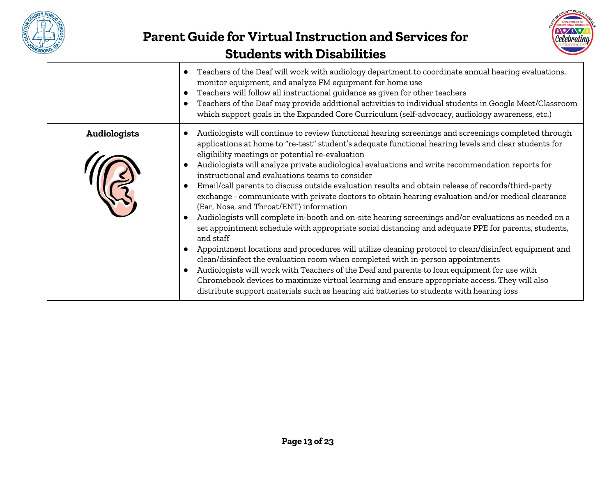



|                     | Teachers of the Deaf will work with audiology department to coordinate annual hearing evaluations,<br>monitor equipment, and analyze FM equipment for home use<br>Teachers will follow all instructional guidance as given for other teachers<br>Teachers of the Deaf may provide additional activities to individual students in Google Meet/Classroom<br>which support goals in the Expanded Core Curriculum (self-advocacy, audiology awareness, etc.)                                                                                                                                                                                                                                                                                                                                                                                                                                                                                                                                                                                                                                                                                                                                                                                                                                                                                                                                     |
|---------------------|-----------------------------------------------------------------------------------------------------------------------------------------------------------------------------------------------------------------------------------------------------------------------------------------------------------------------------------------------------------------------------------------------------------------------------------------------------------------------------------------------------------------------------------------------------------------------------------------------------------------------------------------------------------------------------------------------------------------------------------------------------------------------------------------------------------------------------------------------------------------------------------------------------------------------------------------------------------------------------------------------------------------------------------------------------------------------------------------------------------------------------------------------------------------------------------------------------------------------------------------------------------------------------------------------------------------------------------------------------------------------------------------------|
| <b>Audiologists</b> | Audiologists will continue to review functional hearing screenings and screenings completed through<br>applications at home to "re-test" student's adequate functional hearing levels and clear students for<br>eligibility meetings or potential re-evaluation<br>Audiologists will analyze private audiological evaluations and write recommendation reports for<br>instructional and evaluations teams to consider<br>Email/call parents to discuss outside evaluation results and obtain release of records/third-party<br>exchange - communicate with private doctors to obtain hearing evaluation and/or medical clearance<br>(Ear, Nose, and Throat/ENT) information<br>Audiologists will complete in-booth and on-site hearing screenings and/or evaluations as needed on a<br>set appointment schedule with appropriate social distancing and adequate PPE for parents, students,<br>and staff<br>Appointment locations and procedures will utilize cleaning protocol to clean/disinfect equipment and<br>clean/disinfect the evaluation room when completed with in-person appointments<br>Audiologists will work with Teachers of the Deaf and parents to loan equipment for use with<br>Chromebook devices to maximize virtual learning and ensure appropriate access. They will also<br>distribute support materials such as hearing aid batteries to students with hearing loss |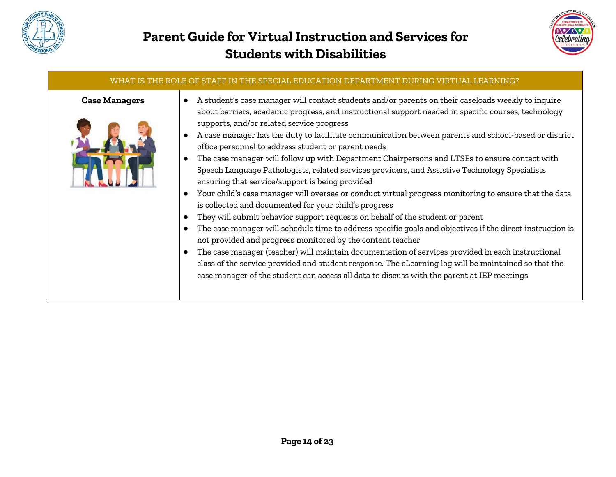



| WHAT IS THE ROLE OF STAFF IN THE SPECIAL EDUCATION DEPARTMENT DURING VIRTUAL |                                                                                                                                                                                                                                                                                                                                                                                                                                                                                                                                                                                                                                                                                                                                                                                                                                                                                                                                                                                                                                                                                                                                                                                                                                                                                                                                                                                                                                                                                                    |
|------------------------------------------------------------------------------|----------------------------------------------------------------------------------------------------------------------------------------------------------------------------------------------------------------------------------------------------------------------------------------------------------------------------------------------------------------------------------------------------------------------------------------------------------------------------------------------------------------------------------------------------------------------------------------------------------------------------------------------------------------------------------------------------------------------------------------------------------------------------------------------------------------------------------------------------------------------------------------------------------------------------------------------------------------------------------------------------------------------------------------------------------------------------------------------------------------------------------------------------------------------------------------------------------------------------------------------------------------------------------------------------------------------------------------------------------------------------------------------------------------------------------------------------------------------------------------------------|
| <b>Case Managers</b>                                                         | A student's case manager will contact students and/or parents on their caseloads weekly to inquire<br>$\bullet$<br>about barriers, academic progress, and instructional support needed in specific courses, technology<br>supports, and/or related service progress<br>A case manager has the duty to facilitate communication between parents and school-based or district<br>$\bullet$<br>office personnel to address student or parent needs<br>The case manager will follow up with Department Chairpersons and LTSEs to ensure contact with<br>$\bullet$<br>Speech Language Pathologists, related services providers, and Assistive Technology Specialists<br>ensuring that service/support is being provided<br>Your child's case manager will oversee or conduct virtual progress monitoring to ensure that the data<br>$\bullet$<br>is collected and documented for your child's progress<br>They will submit behavior support requests on behalf of the student or parent<br>The case manager will schedule time to address specific goals and objectives if the direct instruction is<br>$\bullet$<br>not provided and progress monitored by the content teacher<br>The case manager (teacher) will maintain documentation of services provided in each instructional<br>$\bullet$<br>class of the service provided and student response. The eLearning log will be maintained so that the<br>case manager of the student can access all data to discuss with the parent at IEP meetings |

#### **Page 14 of 23**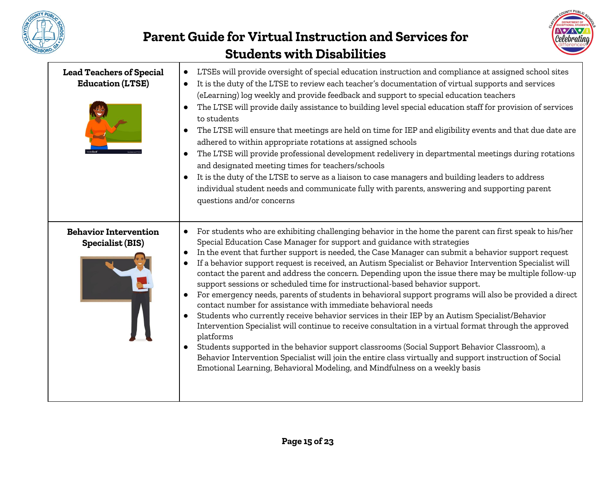



| <b>Lead Teachers of Special</b><br><b>Education (LTSE)</b> | LTSEs will provide oversight of special education instruction and compliance at assigned school sites<br>$\bullet$<br>It is the duty of the LTSE to review each teacher's documentation of virtual supports and services<br>(eLearning) log weekly and provide feedback and support to special education teachers<br>The LTSE will provide daily assistance to building level special education staff for provision of services<br>to students<br>The LTSE will ensure that meetings are held on time for IEP and eligibility events and that due date are<br>adhered to within appropriate rotations at assigned schools<br>The LTSE will provide professional development redelivery in departmental meetings during rotations<br>$\bullet$<br>and designated meeting times for teachers/schools<br>It is the duty of the LTSE to serve as a liaison to case managers and building leaders to address<br>$\bullet$<br>individual student needs and communicate fully with parents, answering and supporting parent<br>questions and/or concerns                                                                                                                                                                                                                                                                                |
|------------------------------------------------------------|----------------------------------------------------------------------------------------------------------------------------------------------------------------------------------------------------------------------------------------------------------------------------------------------------------------------------------------------------------------------------------------------------------------------------------------------------------------------------------------------------------------------------------------------------------------------------------------------------------------------------------------------------------------------------------------------------------------------------------------------------------------------------------------------------------------------------------------------------------------------------------------------------------------------------------------------------------------------------------------------------------------------------------------------------------------------------------------------------------------------------------------------------------------------------------------------------------------------------------------------------------------------------------------------------------------------------------|
| <b>Behavior Intervention</b><br><b>Specialist (BIS)</b>    | For students who are exhibiting challenging behavior in the home the parent can first speak to his/her<br>$\bullet$<br>Special Education Case Manager for support and guidance with strategies<br>In the event that further support is needed, the Case Manager can submit a behavior support request<br>If a behavior support request is received, an Autism Specialist or Behavior Intervention Specialist will<br>$\bullet$<br>contact the parent and address the concern. Depending upon the issue there may be multiple follow-up<br>support sessions or scheduled time for instructional-based behavior support.<br>For emergency needs, parents of students in behavioral support programs will also be provided a direct<br>$\bullet$<br>contact number for assistance with immediate behavioral needs<br>Students who currently receive behavior services in their IEP by an Autism Specialist/Behavior<br>Intervention Specialist will continue to receive consultation in a virtual format through the approved<br>platforms<br>Students supported in the behavior support classrooms (Social Support Behavior Classroom), a<br>Behavior Intervention Specialist will join the entire class virtually and support instruction of Social<br>Emotional Learning, Behavioral Modeling, and Mindfulness on a weekly basis |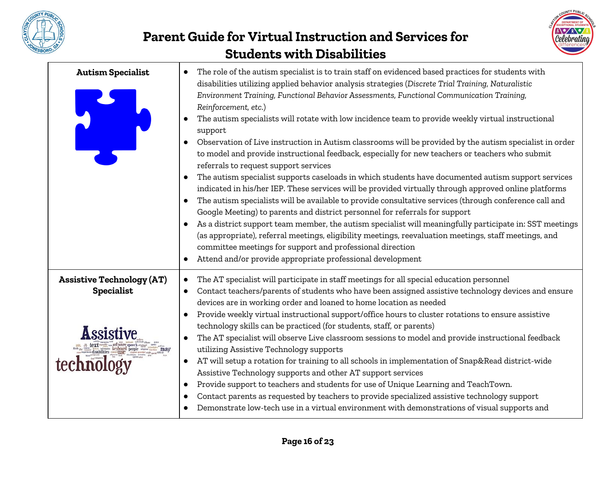



| <b>Autism Specialist</b>                                      | The role of the autism specialist is to train staff on evidenced based practices for students with<br>disabilities utilizing applied behavior analysis strategies (Discrete Trial Training, Naturalistic<br>Environment Training, Functional Behavior Assessments, Functional Communication Training,<br>Reinforcement, etc.)<br>The autism specialists will rotate with low incidence team to provide weekly virtual instructional<br>support<br>Observation of Live instruction in Autism classrooms will be provided by the autism specialist in order<br>to model and provide instructional feedback, especially for new teachers or teachers who submit<br>referrals to request support services<br>The autism specialist supports caseloads in which students have documented autism support services<br>indicated in his/her IEP. These services will be provided virtually through approved online platforms<br>The autism specialists will be available to provide consultative services (through conference call and<br>Google Meeting) to parents and district personnel for referrals for support<br>As a district support team member, the autism specialist will meaningfully participate in: SST meetings<br>(as appropriate), referral meetings, eligibility meetings, reevaluation meetings, staff meetings, and<br>committee meetings for support and professional direction<br>Attend and/or provide appropriate professional development<br>$\bullet$ |
|---------------------------------------------------------------|---------------------------------------------------------------------------------------------------------------------------------------------------------------------------------------------------------------------------------------------------------------------------------------------------------------------------------------------------------------------------------------------------------------------------------------------------------------------------------------------------------------------------------------------------------------------------------------------------------------------------------------------------------------------------------------------------------------------------------------------------------------------------------------------------------------------------------------------------------------------------------------------------------------------------------------------------------------------------------------------------------------------------------------------------------------------------------------------------------------------------------------------------------------------------------------------------------------------------------------------------------------------------------------------------------------------------------------------------------------------------------------------------------------------------------------------------------------------------|
| <b>Assistive Technology (AT)</b><br><b>Specialist</b><br>tecl | The AT specialist will participate in staff meetings for all special education personnel<br>Contact teachers/parents of students who have been assigned assistive technology devices and ensure<br>devices are in working order and loaned to home location as needed<br>Provide weekly virtual instructional support/office hours to cluster rotations to ensure assistive<br>technology skills can be practiced (for students, staff, or parents)<br>The AT specialist will observe Live classroom sessions to model and provide instructional feedback<br>utilizing Assistive Technology supports<br>AT will setup a rotation for training to all schools in implementation of Snap&Read district-wide<br>Assistive Technology supports and other AT support services<br>Provide support to teachers and students for use of Unique Learning and TeachTown.<br>Contact parents as requested by teachers to provide specialized assistive technology support<br>Demonstrate low-tech use in a virtual environment with demonstrations of visual supports and                                                                                                                                                                                                                                                                                                                                                                                                            |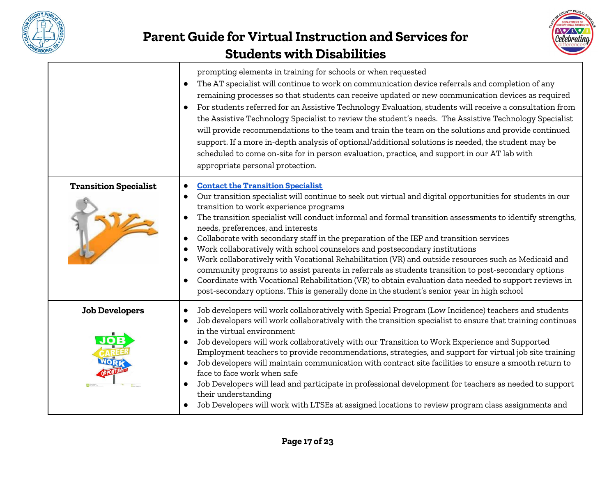



|                              | prompting elements in training for schools or when requested<br>The AT specialist will continue to work on communication device referrals and completion of any<br>remaining processes so that students can receive updated or new communication devices as required<br>For students referred for an Assistive Technology Evaluation, students will receive a consultation from<br>the Assistive Technology Specialist to review the student's needs. The Assistive Technology Specialist<br>will provide recommendations to the team and train the team on the solutions and provide continued<br>support. If a more in-depth analysis of optional/additional solutions is needed, the student may be<br>scheduled to come on-site for in person evaluation, practice, and support in our AT lab with<br>appropriate personal protection.                                                                                                                |
|------------------------------|-----------------------------------------------------------------------------------------------------------------------------------------------------------------------------------------------------------------------------------------------------------------------------------------------------------------------------------------------------------------------------------------------------------------------------------------------------------------------------------------------------------------------------------------------------------------------------------------------------------------------------------------------------------------------------------------------------------------------------------------------------------------------------------------------------------------------------------------------------------------------------------------------------------------------------------------------------------|
| <b>Transition Specialist</b> | <b>Contact the Transition Specialist</b><br>Our transition specialist will continue to seek out virtual and digital opportunities for students in our<br>transition to work experience programs<br>The transition specialist will conduct informal and formal transition assessments to identify strengths,<br>needs, preferences, and interests<br>Collaborate with secondary staff in the preparation of the IEP and transition services<br>Work collaboratively with school counselors and postsecondary institutions<br>Work collaboratively with Vocational Rehabilitation (VR) and outside resources such as Medicaid and<br>community programs to assist parents in referrals as students transition to post-secondary options<br>Coordinate with Vocational Rehabilitation (VR) to obtain evaluation data needed to support reviews in<br>$\bullet$<br>post-secondary options. This is generally done in the student's senior year in high school |
| <b>Job Developers</b>        | Job developers will work collaboratively with Special Program (Low Incidence) teachers and students<br>Job developers will work collaboratively with the transition specialist to ensure that training continues<br>in the virtual environment<br>Job developers will work collaboratively with our Transition to Work Experience and Supported<br>Employment teachers to provide recommendations, strategies, and support for virtual job site training<br>Job developers will maintain communication with contract site facilities to ensure a smooth return to<br>face to face work when safe<br>Job Developers will lead and participate in professional development for teachers as needed to support<br>their understanding<br>Job Developers will work with LTSEs at assigned locations to review program class assignments and                                                                                                                    |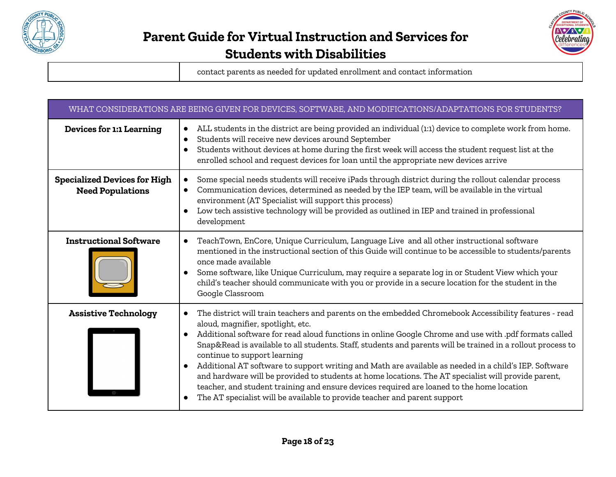



contact parents as needed for updated enrollment and contact information

| WHAT CONSIDERATIONS ARE BEING GIVEN FOR DEVICES, SOFTWARE, AND MODIFICATIONS/ADAPTATIONS FOR STUDENTS? |                                                                                                                                                                                                                                                                                                                                                                                                                                                                                                                                                                                                                                                                                                                                                                                                                                                  |
|--------------------------------------------------------------------------------------------------------|--------------------------------------------------------------------------------------------------------------------------------------------------------------------------------------------------------------------------------------------------------------------------------------------------------------------------------------------------------------------------------------------------------------------------------------------------------------------------------------------------------------------------------------------------------------------------------------------------------------------------------------------------------------------------------------------------------------------------------------------------------------------------------------------------------------------------------------------------|
| <b>Devices for 1:1 Learning</b>                                                                        | ALL students in the district are being provided an individual (1:1) device to complete work from home.<br>$\bullet$<br>Students will receive new devices around September<br>$\bullet$<br>Students without devices at home during the first week will access the student request list at the<br>$\bullet$<br>enrolled school and request devices for loan until the appropriate new devices arrive                                                                                                                                                                                                                                                                                                                                                                                                                                               |
| <b>Specialized Devices for High</b><br><b>Need Populations</b>                                         | Some special needs students will receive iPads through district during the rollout calendar process<br>$\bullet$<br>Communication devices, determined as needed by the IEP team, will be available in the virtual<br>$\bullet$<br>environment (AT Specialist will support this process)<br>Low tech assistive technology will be provided as outlined in IEP and trained in professional<br>$\bullet$<br>development                                                                                                                                                                                                                                                                                                                                                                                                                             |
| <b>Instructional Software</b>                                                                          | TeachTown, EnCore, Unique Curriculum, Language Live and all other instructional software<br>$\bullet$<br>mentioned in the instructional section of this Guide will continue to be accessible to students/parents<br>once made available<br>Some software, like Unique Curriculum, may require a separate log in or Student View which your<br>$\bullet$<br>child's teacher should communicate with you or provide in a secure location for the student in the<br>Google Classroom                                                                                                                                                                                                                                                                                                                                                                |
| <b>Assistive Technology</b>                                                                            | The district will train teachers and parents on the embedded Chromebook Accessibility features - read<br>$\bullet$<br>aloud, magnifier, spotlight, etc.<br>Additional software for read aloud functions in online Google Chrome and use with .pdf formats called<br>$\bullet$<br>Snap&Read is available to all students. Staff, students and parents will be trained in a rollout process to<br>continue to support learning<br>Additional AT software to support writing and Math are available as needed in a child's IEP. Software<br>$\bullet$<br>and hardware will be provided to students at home locations. The AT specialist will provide parent,<br>teacher, and student training and ensure devices required are loaned to the home location<br>The AT specialist will be available to provide teacher and parent support<br>$\bullet$ |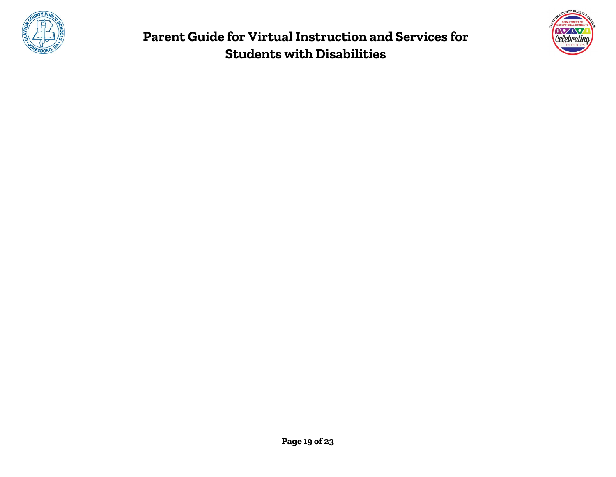

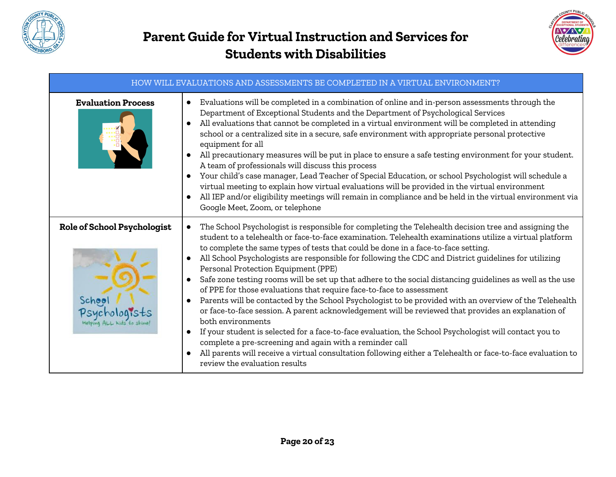



| HOW WILL EVALUATIONS AND ASSESSMENTS BE COMPLETED IN A VIRTUAL ENVIRONMENT? |                                                                                                                                                                                                                                                                                                                                                                                                                                                                                                                                                                                                                                                                                                                                                                                                                                                                                                                                                                                                                                                                                                                                                                                                                                                                     |
|-----------------------------------------------------------------------------|---------------------------------------------------------------------------------------------------------------------------------------------------------------------------------------------------------------------------------------------------------------------------------------------------------------------------------------------------------------------------------------------------------------------------------------------------------------------------------------------------------------------------------------------------------------------------------------------------------------------------------------------------------------------------------------------------------------------------------------------------------------------------------------------------------------------------------------------------------------------------------------------------------------------------------------------------------------------------------------------------------------------------------------------------------------------------------------------------------------------------------------------------------------------------------------------------------------------------------------------------------------------|
| <b>Evaluation Process</b>                                                   | Evaluations will be completed in a combination of online and in-person assessments through the<br>$\bullet$<br>Department of Exceptional Students and the Department of Psychological Services<br>All evaluations that cannot be completed in a virtual environment will be completed in attending<br>$\bullet$<br>school or a centralized site in a secure, safe environment with appropriate personal protective<br>equipment for all<br>All precautionary measures will be put in place to ensure a safe testing environment for your student.<br>$\bullet$<br>A team of professionals will discuss this process<br>Your child's case manager, Lead Teacher of Special Education, or school Psychologist will schedule a<br>$\bullet$<br>virtual meeting to explain how virtual evaluations will be provided in the virtual environment<br>All IEP and/or eligibility meetings will remain in compliance and be held in the virtual environment via<br>$\bullet$<br>Google Meet, Zoom, or telephone                                                                                                                                                                                                                                                              |
| <b>Role of School Psychologist</b><br>Scho                                  | The School Psychologist is responsible for completing the Telehealth decision tree and assigning the<br>student to a telehealth or face-to-face examination. Telehealth examinations utilize a virtual platform<br>to complete the same types of tests that could be done in a face-to-face setting.<br>All School Psychologists are responsible for following the CDC and District guidelines for utilizing<br>$\bullet$<br>Personal Protection Equipment (PPE)<br>Safe zone testing rooms will be set up that adhere to the social distancing guidelines as well as the use<br>$\bullet$<br>of PPE for those evaluations that require face-to-face to assessment<br>Parents will be contacted by the School Psychologist to be provided with an overview of the Telehealth<br>$\bullet$<br>or face-to-face session. A parent acknowledgement will be reviewed that provides an explanation of<br>both environments<br>If your student is selected for a face-to-face evaluation, the School Psychologist will contact you to<br>$\bullet$<br>complete a pre-screening and again with a reminder call<br>All parents will receive a virtual consultation following either a Telehealth or face-to-face evaluation to<br>$\bullet$<br>review the evaluation results |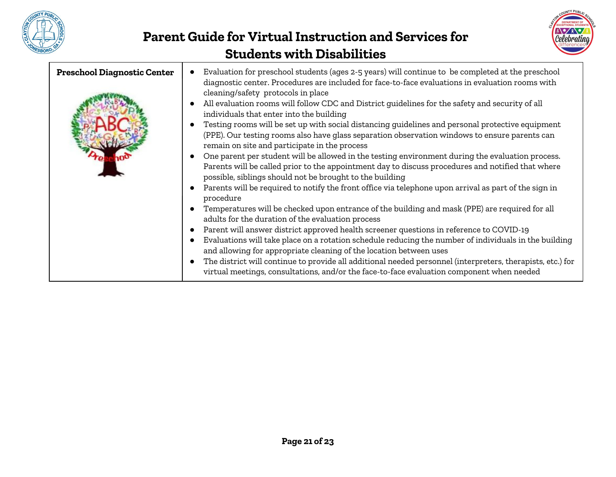



| <b>Preschool Diagnostic Center</b> | Evaluation for preschool students (ages 2-5 years) will continue to be completed at the preschool<br>diagnostic center. Procedures are included for face-to-face evaluations in evaluation rooms with<br>cleaning/safety protocols in place<br>All evaluation rooms will follow CDC and District guidelines for the safety and security of all<br>$\bullet$<br>individuals that enter into the building<br>Testing rooms will be set up with social distancing guidelines and personal protective equipment<br>(PPE). Our testing rooms also have glass separation observation windows to ensure parents can<br>remain on site and participate in the process<br>One parent per student will be allowed in the testing environment during the evaluation process.<br>Parents will be called prior to the appointment day to discuss procedures and notified that where<br>possible, siblings should not be brought to the building<br>Parents will be required to notify the front office via telephone upon arrival as part of the sign in<br>procedure<br>Temperatures will be checked upon entrance of the building and mask (PPE) are required for all<br>adults for the duration of the evaluation process<br>Parent will answer district approved health screener questions in reference to COVID-19<br>Evaluations will take place on a rotation schedule reducing the number of individuals in the building<br>and allowing for appropriate cleaning of the location between uses<br>The district will continue to provide all additional needed personnel (interpreters, therapists, etc.) for<br>virtual meetings, consultations, and/or the face-to-face evaluation component when needed |
|------------------------------------|------------------------------------------------------------------------------------------------------------------------------------------------------------------------------------------------------------------------------------------------------------------------------------------------------------------------------------------------------------------------------------------------------------------------------------------------------------------------------------------------------------------------------------------------------------------------------------------------------------------------------------------------------------------------------------------------------------------------------------------------------------------------------------------------------------------------------------------------------------------------------------------------------------------------------------------------------------------------------------------------------------------------------------------------------------------------------------------------------------------------------------------------------------------------------------------------------------------------------------------------------------------------------------------------------------------------------------------------------------------------------------------------------------------------------------------------------------------------------------------------------------------------------------------------------------------------------------------------------------------------------------------------------------------------------------------------------|
|------------------------------------|------------------------------------------------------------------------------------------------------------------------------------------------------------------------------------------------------------------------------------------------------------------------------------------------------------------------------------------------------------------------------------------------------------------------------------------------------------------------------------------------------------------------------------------------------------------------------------------------------------------------------------------------------------------------------------------------------------------------------------------------------------------------------------------------------------------------------------------------------------------------------------------------------------------------------------------------------------------------------------------------------------------------------------------------------------------------------------------------------------------------------------------------------------------------------------------------------------------------------------------------------------------------------------------------------------------------------------------------------------------------------------------------------------------------------------------------------------------------------------------------------------------------------------------------------------------------------------------------------------------------------------------------------------------------------------------------------|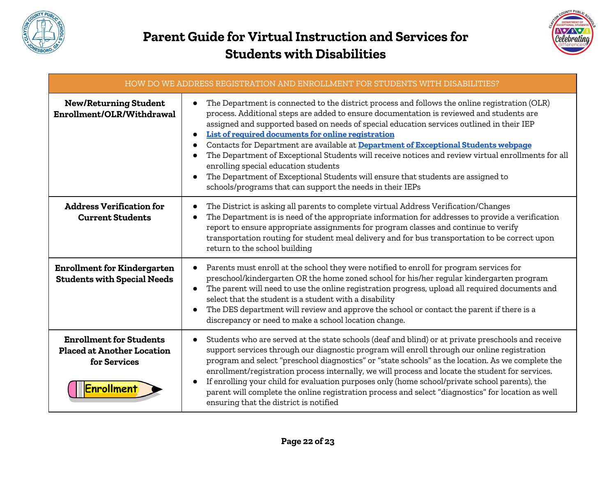



| HOW DO WE ADDRESS REGISTRATION AND ENROLLMENT FOR STUDENTS WITH DISABILITIES?                     |                                                                                                                                                                                                                                                                                                                                                                                                                                                                                                                                                                                                                                                                                                                                                 |
|---------------------------------------------------------------------------------------------------|-------------------------------------------------------------------------------------------------------------------------------------------------------------------------------------------------------------------------------------------------------------------------------------------------------------------------------------------------------------------------------------------------------------------------------------------------------------------------------------------------------------------------------------------------------------------------------------------------------------------------------------------------------------------------------------------------------------------------------------------------|
| <b>New/Returning Student</b><br>Enrollment/OLR/Withdrawal                                         | The Department is connected to the district process and follows the online registration (OLR)<br>process. Additional steps are added to ensure documentation is reviewed and students are<br>assigned and supported based on needs of special education services outlined in their IEP<br>List of required documents for online registration<br>$\bullet$<br>Contacts for Department are available at Department of Exceptional Students webpage<br>The Department of Exceptional Students will receive notices and review virtual enrollments for all<br>enrolling special education students<br>The Department of Exceptional Students will ensure that students are assigned to<br>schools/programs that can support the needs in their IEPs |
| <b>Address Verification for</b><br><b>Current Students</b>                                        | The District is asking all parents to complete virtual Address Verification/Changes<br>The Department is is need of the appropriate information for addresses to provide a verification<br>report to ensure appropriate assignments for program classes and continue to verify<br>transportation routing for student meal delivery and for bus transportation to be correct upon<br>return to the school building                                                                                                                                                                                                                                                                                                                               |
| <b>Enrollment for Kindergarten</b><br><b>Students with Special Needs</b>                          | Parents must enroll at the school they were notified to enroll for program services for<br>$\bullet$<br>preschool/kindergarten OR the home zoned school for his/her regular kindergarten program<br>The parent will need to use the online registration progress, upload all required documents and<br>$\bullet$<br>select that the student is a student with a disability<br>The DES department will review and approve the school or contact the parent if there is a<br>discrepancy or need to make a school location change.                                                                                                                                                                                                                |
| <b>Enrollment for Students</b><br><b>Placed at Another Location</b><br>for Services<br>Enrollment | Students who are served at the state schools (deaf and blind) or at private preschools and receive<br>$\bullet$<br>support services through our diagnostic program will enroll through our online registration<br>program and select "preschool diagnostics" or "state schools" as the location. As we complete the<br>enrollment/registration process internally, we will process and locate the student for services.<br>If enrolling your child for evaluation purposes only (home school/private school parents), the<br>parent will complete the online registration process and select "diagnostics" for location as well<br>ensuring that the district is notified                                                                       |